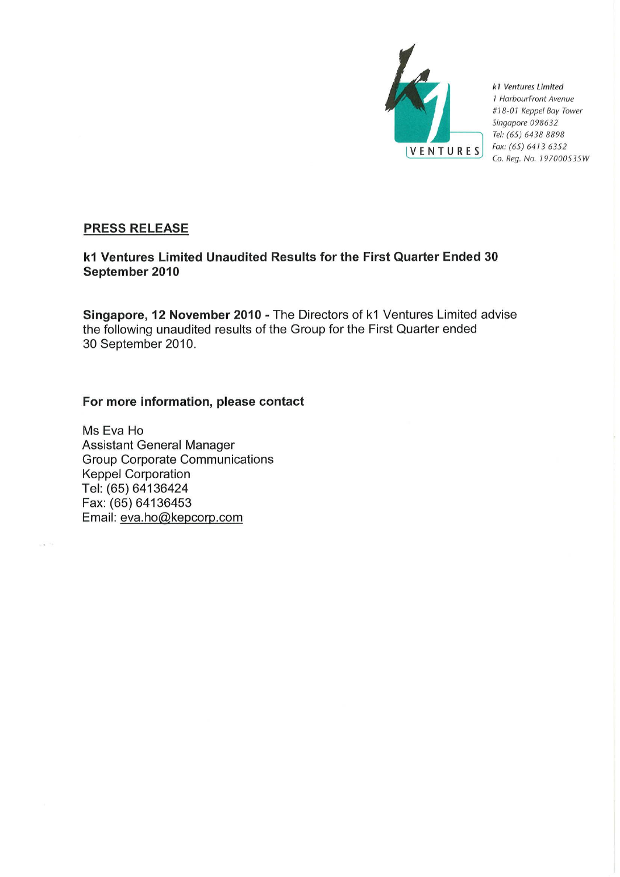

k1 Ventures Limited 1 HarbourFront Avenue #18-01 Keppel Bay Tower Singapore 098632 Tel: (65) 6438 8898 Fax: (65) 6413 6352 Co. Reg. No. 197000535W

# **PRESS RELEASE**

# k1 Ventures Limited Unaudited Results for the First Quarter Ended 30 September 2010

Singapore, 12 November 2010 - The Directors of k1 Ventures Limited advise the following unaudited results of the Group for the First Quarter ended 30 September 2010.

# For more information, please contact

Ms Eva Ho **Assistant General Manager Group Corporate Communications Keppel Corporation** Tel: (65) 64136424 Fax: (65) 64136453 Email: eva.ho@kepcorp.com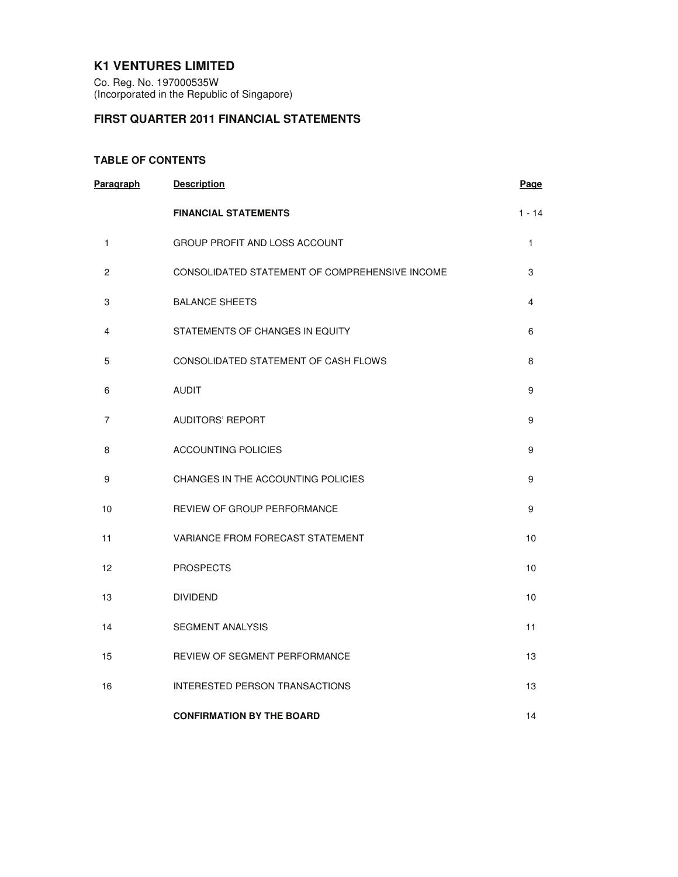# **K1 VENTURES LIMITED**

Co. Reg. No. 197000535W (Incorporated in the Republic of Singapore)

# **FIRST QUARTER 2011 FINANCIAL STATEMENTS**

## **TABLE OF CONTENTS**

| Paragraph      | <b>Description</b>                             | Page     |
|----------------|------------------------------------------------|----------|
|                | <b>FINANCIAL STATEMENTS</b>                    | $1 - 14$ |
| 1              | GROUP PROFIT AND LOSS ACCOUNT                  | 1        |
| $\overline{c}$ | CONSOLIDATED STATEMENT OF COMPREHENSIVE INCOME | 3        |
| 3              | <b>BALANCE SHEETS</b>                          | 4        |
| 4              | STATEMENTS OF CHANGES IN EQUITY                | 6        |
| 5              | CONSOLIDATED STATEMENT OF CASH FLOWS           | 8        |
| 6              | <b>AUDIT</b>                                   | 9        |
| 7              | <b>AUDITORS' REPORT</b>                        | 9        |
| 8              | <b>ACCOUNTING POLICIES</b>                     | 9        |
| 9              | CHANGES IN THE ACCOUNTING POLICIES             | 9        |
| 10             | REVIEW OF GROUP PERFORMANCE                    | 9        |
| 11             | VARIANCE FROM FORECAST STATEMENT               | 10       |
| 12             | <b>PROSPECTS</b>                               | 10       |
| 13             | <b>DIVIDEND</b>                                | 10       |
| 14             | <b>SEGMENT ANALYSIS</b>                        | 11       |
| 15             | <b>REVIEW OF SEGMENT PERFORMANCE</b>           | 13       |
| 16             | INTERESTED PERSON TRANSACTIONS                 | 13       |
|                | <b>CONFIRMATION BY THE BOARD</b>               | 14       |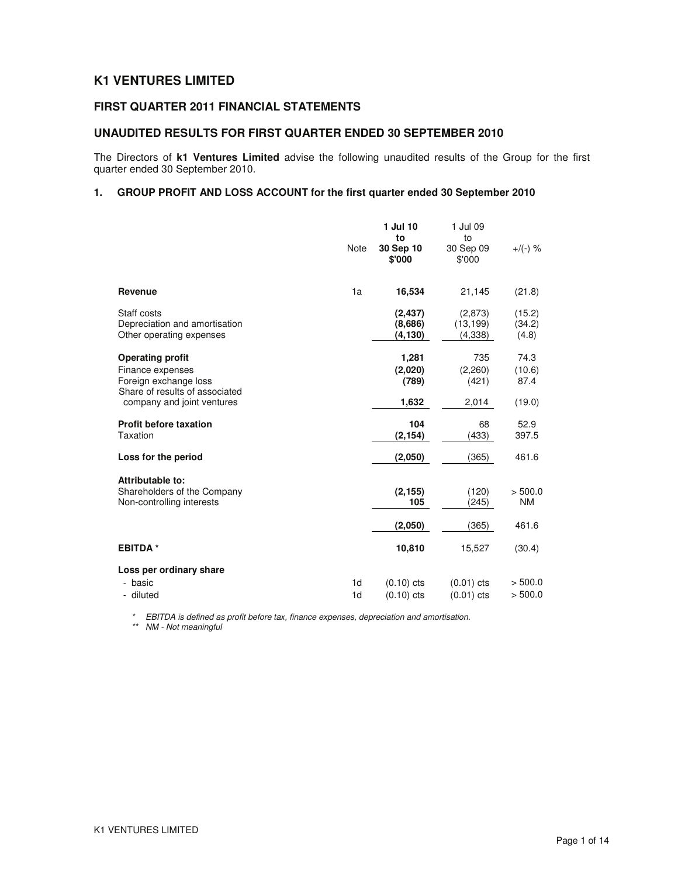# **K1 VENTURES LIMITED**

## **FIRST QUARTER 2011 FINANCIAL STATEMENTS**

## **UNAUDITED RESULTS FOR FIRST QUARTER ENDED 30 SEPTEMBER 2010**

The Directors of **k1 Ventures Limited** advise the following unaudited results of the Group for the first quarter ended 30 September 2010.

## **1. GROUP PROFIT AND LOSS ACCOUNT for the first quarter ended 30 September 2010**

|                                                                                                                                      | Note                 | 1 Jul 10<br>to<br>30 Sep 10<br>\$'000 | 1 Jul 09<br>to<br>30 Sep 09<br>\$'000 | $+$ /(-) %                       |
|--------------------------------------------------------------------------------------------------------------------------------------|----------------------|---------------------------------------|---------------------------------------|----------------------------------|
| Revenue                                                                                                                              | 1a                   | 16,534                                | 21,145                                | (21.8)                           |
| Staff costs<br>Depreciation and amortisation<br>Other operating expenses                                                             |                      | (2, 437)<br>(8,686)<br>(4, 130)       | (2,873)<br>(13, 199)<br>(4,338)       | (15.2)<br>(34.2)<br>(4.8)        |
| <b>Operating profit</b><br>Finance expenses<br>Foreign exchange loss<br>Share of results of associated<br>company and joint ventures |                      | 1,281<br>(2,020)<br>(789)<br>1,632    | 735<br>(2,260)<br>(421)<br>2,014      | 74.3<br>(10.6)<br>87.4<br>(19.0) |
| <b>Profit before taxation</b><br>Taxation                                                                                            |                      | 104<br>(2, 154)                       | 68<br>(433)                           | 52.9<br>397.5                    |
| Loss for the period                                                                                                                  |                      | (2,050)                               | (365)                                 | 461.6                            |
| Attributable to:<br>Shareholders of the Company<br>Non-controlling interests                                                         |                      | (2, 155)<br>105                       | (120)<br>(245)                        | > 500.0<br><b>NM</b>             |
|                                                                                                                                      |                      | (2,050)                               | (365)                                 | 461.6                            |
| <b>EBITDA*</b>                                                                                                                       |                      | 10,810                                | 15,527                                | (30.4)                           |
| Loss per ordinary share<br>- basic<br>- diluted                                                                                      | 1d<br>1 <sub>d</sub> | $(0.10)$ cts<br>$(0.10)$ cts          | $(0.01)$ cts<br>(0.01) cts            | > 500.0<br>> 500.0               |

\* EBITDA is defined as profit before tax, finance expenses, depreciation and amortisation.

\*\* NM - Not meaningful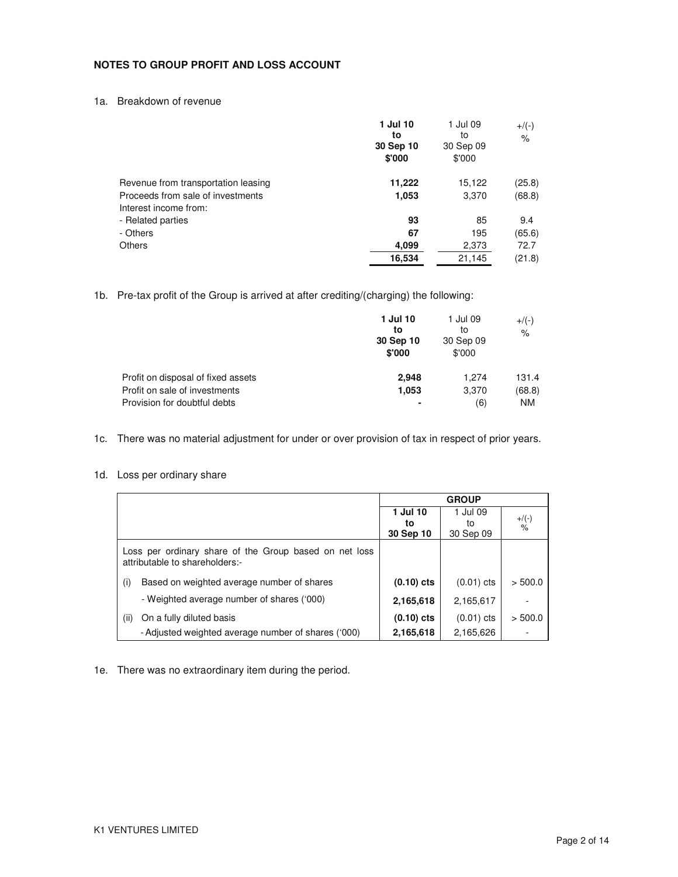### **NOTES TO GROUP PROFIT AND LOSS ACCOUNT**

1a. Breakdown of revenue

|                                     | 1 Jul 10<br>to<br>30 Sep 10<br>\$'000 | 1 Jul 09<br>to<br>30 Sep 09<br>\$'000 | $+/(-)$<br>$\%$ |
|-------------------------------------|---------------------------------------|---------------------------------------|-----------------|
| Revenue from transportation leasing | 11,222                                | 15,122                                | (25.8)          |
| Proceeds from sale of investments   | 1,053                                 | 3,370                                 | (68.8)          |
| Interest income from:               |                                       |                                       |                 |
| - Related parties                   | 93                                    | 85                                    | 9.4             |
| - Others                            | 67                                    | 195                                   | (65.6)          |
| <b>Others</b>                       | 4,099                                 | 2,373                                 | 72.7            |
|                                     | 16,534                                | 21.145                                | (21.8)          |

1b. Pre-tax profit of the Group is arrived at after crediting/(charging) the following:

|                                                               | 1 Jul 10<br>to<br>30 Sep 10<br>\$'000 | 1 Jul 09<br>to<br>30 Sep 09<br>\$'000 | $+$ /(-)<br>$\%$    |
|---------------------------------------------------------------|---------------------------------------|---------------------------------------|---------------------|
| Profit on disposal of fixed assets                            | 2.948                                 | 1.274                                 | 131.4               |
| Profit on sale of investments<br>Provision for doubtful debts | 1,053                                 | 3,370<br>(6)                          | (68.8)<br><b>NM</b> |

1c. There was no material adjustment for under or over provision of tax in respect of prior years.

1d. Loss per ordinary share

|                                                                                          |              | <b>GROUP</b> |                           |
|------------------------------------------------------------------------------------------|--------------|--------------|---------------------------|
|                                                                                          | 1 Jul 10     | 1 Jul 09     |                           |
|                                                                                          | to           | to           | $+$ /(-)<br>$\frac{9}{6}$ |
|                                                                                          | 30 Sep 10    | 30 Sep 09    |                           |
| Loss per ordinary share of the Group based on net loss<br>attributable to shareholders:- |              |              |                           |
| Based on weighted average number of shares<br>(i)                                        | $(0.10)$ cts | $(0.01)$ cts | > 500.0                   |
| - Weighted average number of shares ('000)                                               | 2,165,618    | 2,165,617    |                           |
| On a fully diluted basis<br>(ii)                                                         | $(0.10)$ cts | $(0.01)$ cts | > 500.0                   |
| - Adjusted weighted average number of shares ('000)                                      | 2,165,618    | 2,165,626    |                           |

1e. There was no extraordinary item during the period.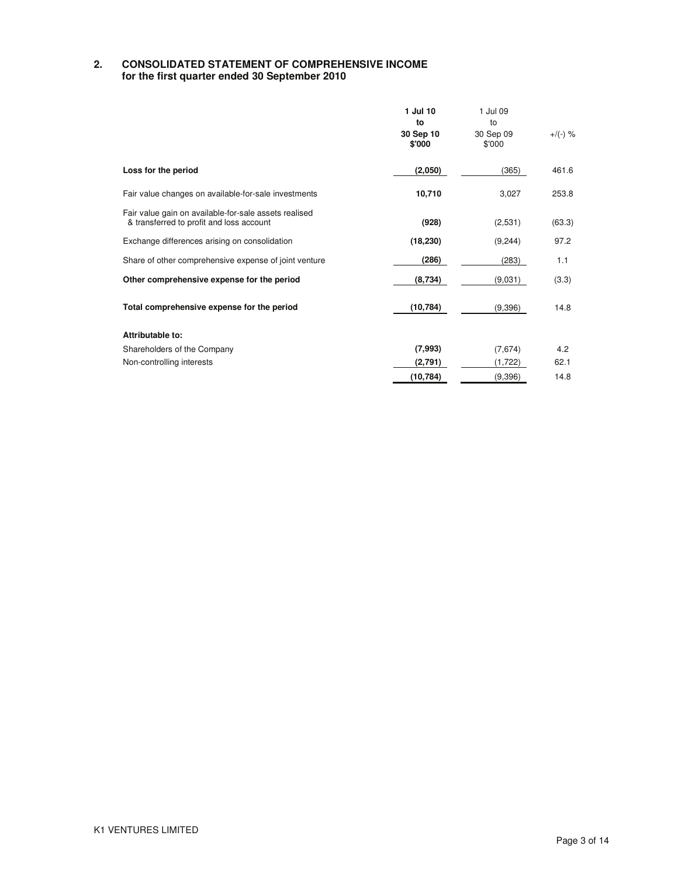### **2. CONSOLIDATED STATEMENT OF COMPREHENSIVE INCOME for the first quarter ended 30 September 2010**

|                                                                                                   | 1 Jul 10<br>to      | 1 Jul 09<br>to      |            |
|---------------------------------------------------------------------------------------------------|---------------------|---------------------|------------|
|                                                                                                   | 30 Sep 10<br>\$'000 | 30 Sep 09<br>\$'000 | $+$ /(-) % |
| Loss for the period                                                                               | (2,050)             | (365)               | 461.6      |
| Fair value changes on available-for-sale investments                                              | 10,710              | 3,027               | 253.8      |
| Fair value gain on available-for-sale assets realised<br>& transferred to profit and loss account | (928)               | (2,531)             | (63.3)     |
| Exchange differences arising on consolidation                                                     | (18, 230)           | (9,244)             | 97.2       |
| Share of other comprehensive expense of joint venture                                             | (286)               | (283)               | 1.1        |
| Other comprehensive expense for the period                                                        | (8,734)             | (9,031)             | (3.3)      |
| Total comprehensive expense for the period                                                        | (10, 784)           | (9,396)             | 14.8       |
| Attributable to:                                                                                  |                     |                     |            |
| Shareholders of the Company                                                                       | (7,993)             | (7,674)             | 4.2        |
| Non-controlling interests                                                                         | (2,791)             | (1,722)             | 62.1       |
|                                                                                                   | (10, 784)           | (9,396)             | 14.8       |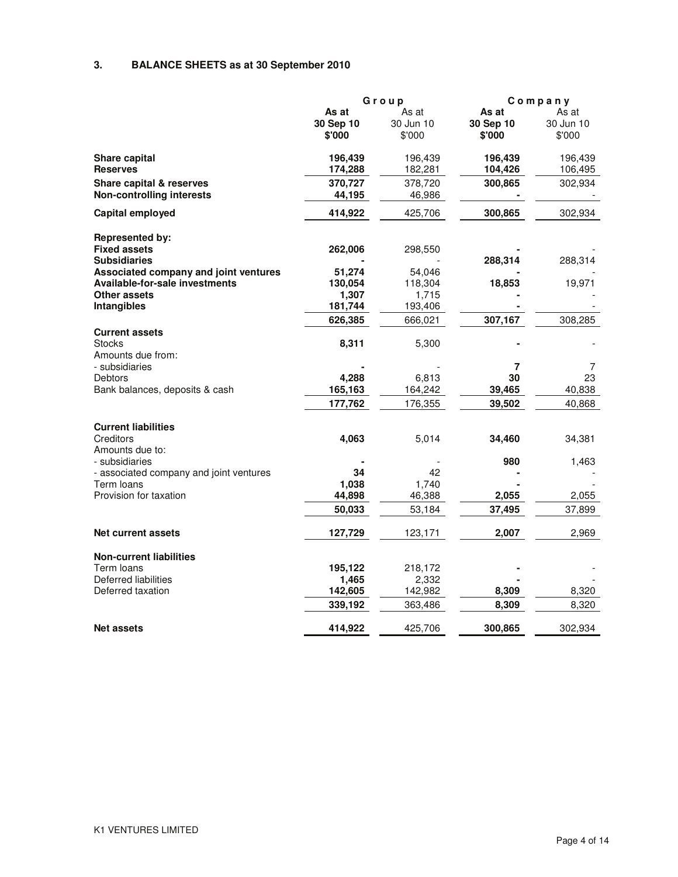# **3. BALANCE SHEETS as at 30 September 2010**

|                                         |           | Group     | Company   |           |
|-----------------------------------------|-----------|-----------|-----------|-----------|
|                                         | As at     | As at     | As at     | As at     |
|                                         | 30 Sep 10 | 30 Jun 10 | 30 Sep 10 | 30 Jun 10 |
|                                         | \$'000    | \$'000    | \$'000    | \$'000    |
| Share capital                           | 196,439   | 196,439   | 196,439   | 196,439   |
| <b>Reserves</b>                         | 174,288   | 182,281   | 104,426   | 106,495   |
| Share capital & reserves                | 370,727   | 378,720   | 300,865   | 302,934   |
| <b>Non-controlling interests</b>        | 44,195    | 46,986    |           |           |
| Capital employed                        | 414,922   | 425,706   | 300,865   | 302,934   |
|                                         |           |           |           |           |
| <b>Represented by:</b>                  |           |           |           |           |
| <b>Fixed assets</b>                     | 262,006   | 298,550   |           |           |
| <b>Subsidiaries</b>                     |           |           | 288,314   | 288,314   |
| Associated company and joint ventures   | 51,274    | 54,046    |           |           |
| <b>Available-for-sale investments</b>   | 130,054   | 118,304   | 18,853    | 19,971    |
| Other assets                            | 1,307     | 1,715     |           |           |
| <b>Intangibles</b>                      | 181,744   | 193,406   |           |           |
|                                         | 626,385   | 666,021   | 307,167   | 308,285   |
| <b>Current assets</b>                   |           |           |           |           |
| Stocks                                  | 8,311     | 5,300     |           |           |
| Amounts due from:                       |           |           |           |           |
| - subsidiaries                          |           |           | 7         | 7         |
| Debtors                                 | 4,288     | 6,813     | 30        | 23        |
| Bank balances, deposits & cash          | 165,163   | 164,242   | 39,465    | 40,838    |
|                                         | 177,762   | 176,355   | 39,502    | 40,868    |
| <b>Current liabilities</b>              |           |           |           |           |
| Creditors                               | 4,063     | 5,014     | 34,460    | 34,381    |
| Amounts due to:                         |           |           |           |           |
| - subsidiaries                          |           |           | 980       | 1,463     |
| - associated company and joint ventures | 34        | 42        |           |           |
| Term loans                              | 1,038     | 1,740     |           |           |
| Provision for taxation                  | 44,898    | 46,388    | 2,055     | 2,055     |
|                                         | 50,033    | 53,184    | 37,495    | 37,899    |
|                                         |           |           |           |           |
| <b>Net current assets</b>               | 127,729   | 123,171   | 2,007     | 2,969     |
| <b>Non-current liabilities</b>          |           |           |           |           |
| Term loans                              | 195,122   | 218,172   |           |           |
| Deferred liabilities                    |           | 2,332     |           |           |
| Deferred taxation                       | 1,465     |           |           |           |
|                                         | 142,605   | 142,982   | 8,309     | 8,320     |
|                                         | 339,192   | 363,486   | 8,309     | 8,320     |
| <b>Net assets</b>                       | 414,922   | 425,706   | 300,865   | 302,934   |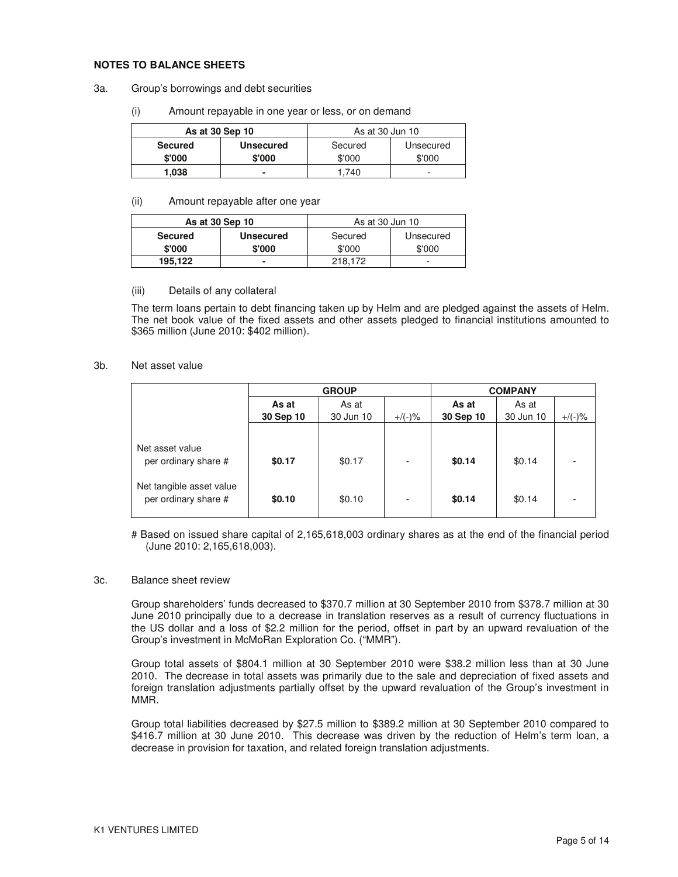### **NOTES TO BALANCE SHEETS**

- 3a. Group's borrowings and debt securities
	- (i) Amount repayable in one year or less, or on demand

| As at 30 Sep 10 |                  | As at 30 Jun 10      |        |  |
|-----------------|------------------|----------------------|--------|--|
| <b>Secured</b>  | <b>Unsecured</b> | Secured<br>Unsecured |        |  |
| \$'000          | \$'000           | \$'000               | \$'000 |  |
| 1,038           |                  | .740                 | -      |  |

#### (ii) Amount repayable after one year

| As at 30 Sep 10 |                  | As at 30 Jun 10 |           |
|-----------------|------------------|-----------------|-----------|
| <b>Secured</b>  | <b>Unsecured</b> | Secured         | Unsecured |
| \$'000          | \$'000           | \$'000          | \$'000    |
| 195,122         |                  | 218.172         | -         |

### (iii) Details of any collateral

The term loans pertain to debt financing taken up by Helm and are pledged against the assets of Helm. The net book value of the fixed assets and other assets pledged to financial institutions amounted to \$365 million (June 2010: \$402 million).

### 3b. Net asset value

|                                                  | <b>GROUP</b> |           |                          |           | <b>COMPANY</b> |           |
|--------------------------------------------------|--------------|-----------|--------------------------|-----------|----------------|-----------|
|                                                  | As at        | As at     |                          | As at     | As at          |           |
|                                                  | 30 Sep 10    | 30 Jun 10 | $+$ /(-)%                | 30 Sep 10 | 30 Jun 10      | $+/(-)$ % |
| Net asset value<br>per ordinary share #          | \$0.17       | \$0.17    | $\overline{\phantom{a}}$ | \$0.14    | \$0.14         |           |
| Net tangible asset value<br>per ordinary share # | \$0.10       | \$0.10    | $\overline{\phantom{a}}$ | \$0.14    | \$0.14         |           |

# Based on issued share capital of 2,165,618,003 ordinary shares as at the end of the financial period (June 2010: 2,165,618,003).

#### 3c. Balance sheet review

Group shareholders' funds decreased to \$370.7 million at 30 September 2010 from \$378.7 million at 30 June 2010 principally due to a decrease in translation reserves as a result of currency fluctuations in the US dollar and a loss of \$2.2 million for the period, offset in part by an upward revaluation of the Group's investment in McMoRan Exploration Co. ("MMR").

Group total assets of \$804.1 million at 30 September 2010 were \$38.2 million less than at 30 June 2010. The decrease in total assets was primarily due to the sale and depreciation of fixed assets and foreign translation adjustments partially offset by the upward revaluation of the Group's investment in MMR.

Group total liabilities decreased by \$27.5 million to \$389.2 million at 30 September 2010 compared to \$416.7 million at 30 June 2010. This decrease was driven by the reduction of Helm's term loan, a decrease in provision for taxation, and related foreign translation adjustments.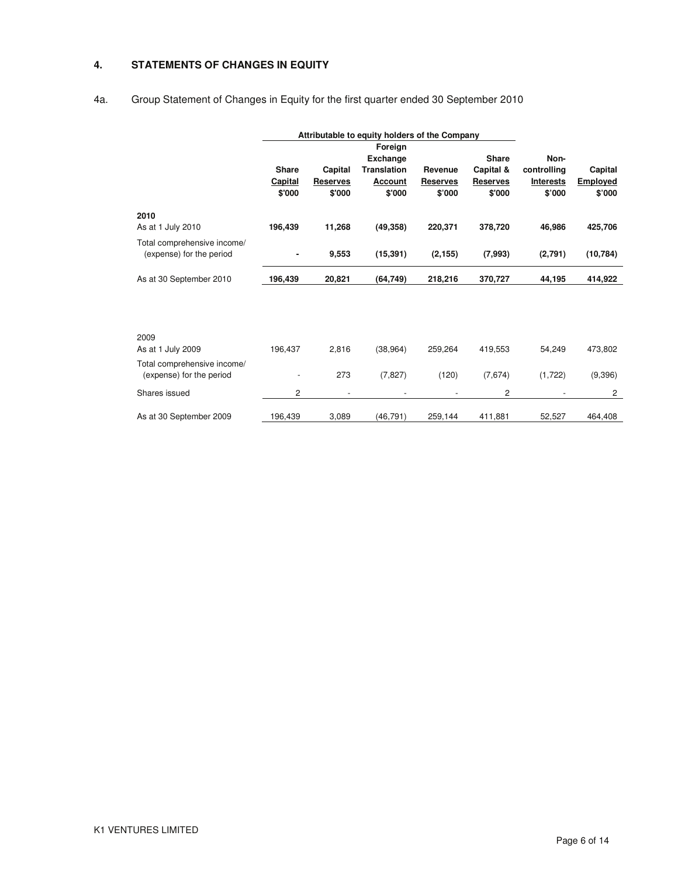## **4. STATEMENTS OF CHANGES IN EQUITY**

# 4a. Group Statement of Changes in Equity for the first quarter ended 30 September 2010

|                                                         | Attributable to equity holders of the Company |                          |                            |                          |                 |                  |                 |
|---------------------------------------------------------|-----------------------------------------------|--------------------------|----------------------------|--------------------------|-----------------|------------------|-----------------|
|                                                         |                                               |                          | Foreign<br><b>Exchange</b> |                          | <b>Share</b>    | Non-             |                 |
|                                                         | <b>Share</b>                                  | Capital                  | <b>Translation</b>         | Revenue                  | Capital &       | controlling      | Capital         |
|                                                         | Capital                                       | <b>Reserves</b>          | Account                    | <b>Reserves</b>          | <b>Reserves</b> | <b>Interests</b> | <b>Employed</b> |
|                                                         | \$'000                                        | \$'000                   | \$'000                     | \$'000                   | \$'000          | \$'000           | \$'000          |
| 2010                                                    |                                               |                          |                            |                          |                 |                  |                 |
| As at 1 July 2010                                       | 196,439                                       | 11,268                   | (49, 358)                  | 220,371                  | 378,720         | 46,986           | 425,706         |
| Total comprehensive income/<br>(expense) for the period |                                               | 9,553                    | (15, 391)                  | (2, 155)                 | (7,993)         | (2,791)          | (10, 784)       |
| As at 30 September 2010                                 | 196,439                                       | 20,821                   | (64, 749)                  | 218,216                  | 370,727         | 44,195           | 414,922         |
|                                                         |                                               |                          |                            |                          |                 |                  |                 |
| 2009                                                    |                                               |                          |                            |                          |                 |                  |                 |
| As at 1 July 2009                                       | 196,437                                       | 2,816                    | (38, 964)                  | 259,264                  | 419,553         | 54,249           | 473,802         |
| Total comprehensive income/<br>(expense) for the period |                                               | 273                      | (7, 827)                   | (120)                    | (7,674)         | (1,722)          | (9,396)         |
| Shares issued                                           | 2                                             | $\overline{\phantom{a}}$ | $\overline{a}$             | $\overline{\phantom{a}}$ | 2               |                  | 2               |
| As at 30 September 2009                                 | 196,439                                       | 3,089                    | (46, 791)                  | 259,144                  | 411,881         | 52,527           | 464,408         |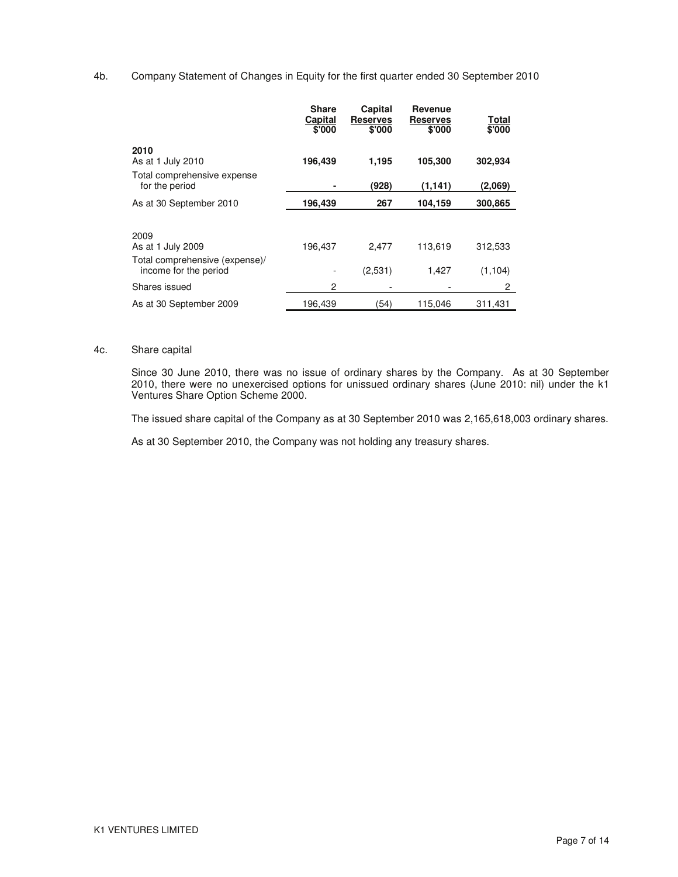### 4b. Company Statement of Changes in Equity for the first quarter ended 30 September 2010

|                                                         | <b>Share</b><br>Capital<br>\$'000 | Capital<br><b>Reserves</b><br>\$'000 | Revenue<br><b>Reserves</b><br>\$'000 | <b>Total</b><br>\$'000 |
|---------------------------------------------------------|-----------------------------------|--------------------------------------|--------------------------------------|------------------------|
| 2010<br>As at 1 July 2010                               | 196,439                           | 1,195                                | 105,300                              | 302,934                |
| Total comprehensive expense<br>for the period           |                                   | (928)                                | (1, 141)                             | (2,069)                |
| As at 30 September 2010                                 | 196,439                           | 267                                  | 104,159                              | 300,865                |
| 2009<br>As at 1 July 2009                               | 196,437                           | 2.477                                | 113,619                              | 312,533                |
| Total comprehensive (expense)/<br>income for the period |                                   | (2.531)                              | 1,427                                | (1.104)                |
| Shares issued                                           | 2                                 |                                      |                                      | 2                      |
| As at 30 September 2009                                 | 196,439                           | (54)                                 | 115,046                              | 311,431                |

### 4c. Share capital

Since 30 June 2010, there was no issue of ordinary shares by the Company. As at 30 September 2010, there were no unexercised options for unissued ordinary shares (June 2010: nil) under the k1 Ventures Share Option Scheme 2000.

The issued share capital of the Company as at 30 September 2010 was 2,165,618,003 ordinary shares.

As at 30 September 2010, the Company was not holding any treasury shares.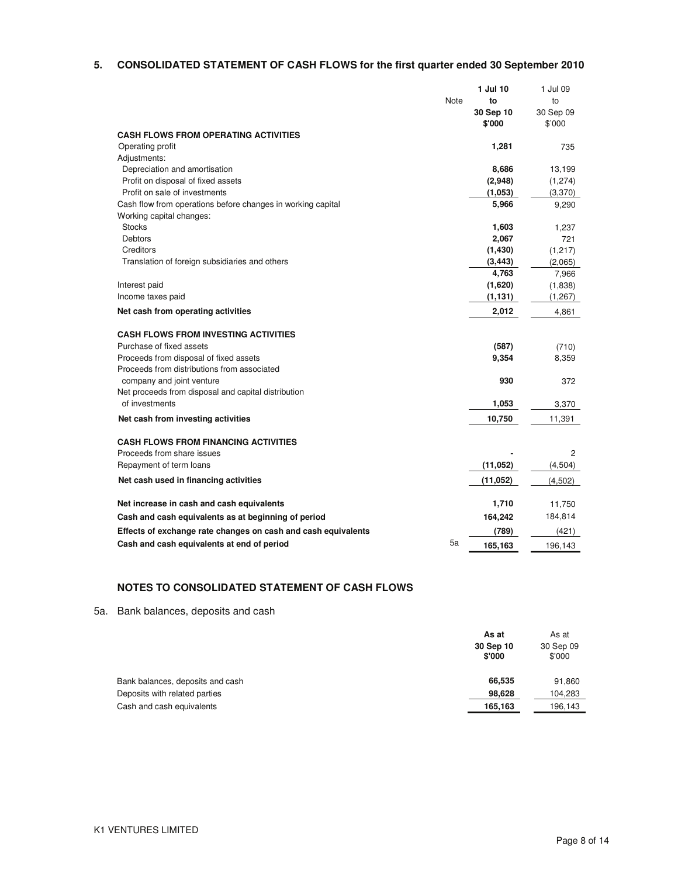## **5. CONSOLIDATED STATEMENT OF CASH FLOWS for the first quarter ended 30 September 2010**

|                                                               |      | 1 Jul 10  | 1 Jul 09  |
|---------------------------------------------------------------|------|-----------|-----------|
|                                                               | Note | to        | to        |
|                                                               |      | 30 Sep 10 | 30 Sep 09 |
|                                                               |      | \$'000    | \$'000    |
| <b>CASH FLOWS FROM OPERATING ACTIVITIES</b>                   |      |           |           |
| Operating profit                                              |      | 1,281     | 735       |
| Adjustments:                                                  |      |           |           |
| Depreciation and amortisation                                 |      | 8,686     | 13,199    |
| Profit on disposal of fixed assets                            |      | (2,948)   | (1,274)   |
| Profit on sale of investments                                 |      | (1,053)   | (3,370)   |
| Cash flow from operations before changes in working capital   |      | 5,966     | 9,290     |
| Working capital changes:                                      |      |           |           |
| <b>Stocks</b>                                                 |      | 1,603     | 1,237     |
| Debtors                                                       |      | 2,067     | 721       |
| Creditors                                                     |      | (1, 430)  | (1, 217)  |
| Translation of foreign subsidiaries and others                |      | (3, 443)  | (2,065)   |
|                                                               |      | 4,763     | 7,966     |
| Interest paid                                                 |      | (1,620)   | (1,838)   |
| Income taxes paid                                             |      | (1, 131)  | (1, 267)  |
| Net cash from operating activities                            |      | 2,012     | 4,861     |
| <b>CASH FLOWS FROM INVESTING ACTIVITIES</b>                   |      |           |           |
| Purchase of fixed assets                                      |      | (587)     | (710)     |
| Proceeds from disposal of fixed assets                        |      | 9,354     | 8,359     |
| Proceeds from distributions from associated                   |      |           |           |
| company and joint venture                                     |      | 930       | 372       |
| Net proceeds from disposal and capital distribution           |      |           |           |
| of investments                                                |      | 1,053     | 3,370     |
| Net cash from investing activities                            |      | 10,750    | 11,391    |
|                                                               |      |           |           |
| <b>CASH FLOWS FROM FINANCING ACTIVITIES</b>                   |      |           |           |
| Proceeds from share issues                                    |      |           | 2         |
| Repayment of term loans                                       |      | (11, 052) | (4, 504)  |
| Net cash used in financing activities                         |      | (11, 052) | (4,502)   |
|                                                               |      |           |           |
| Net increase in cash and cash equivalents                     |      | 1,710     | 11,750    |
| Cash and cash equivalents as at beginning of period           |      | 164,242   | 184,814   |
| Effects of exchange rate changes on cash and cash equivalents |      | (789)     | (421)     |
| Cash and cash equivalents at end of period                    | 5a   | 165.163   | 196,143   |

# **NOTES TO CONSOLIDATED STATEMENT OF CASH FLOWS**

5a. Bank balances, deposits and cash

|                                  | As at<br>30 Sep 10<br>\$'000 | As at<br>30 Sep 09<br>\$'000 |
|----------------------------------|------------------------------|------------------------------|
| Bank balances, deposits and cash | 66.535                       | 91,860                       |
| Deposits with related parties    | 98.628                       | 104.283                      |
| Cash and cash equivalents        | 165,163                      | 196.143                      |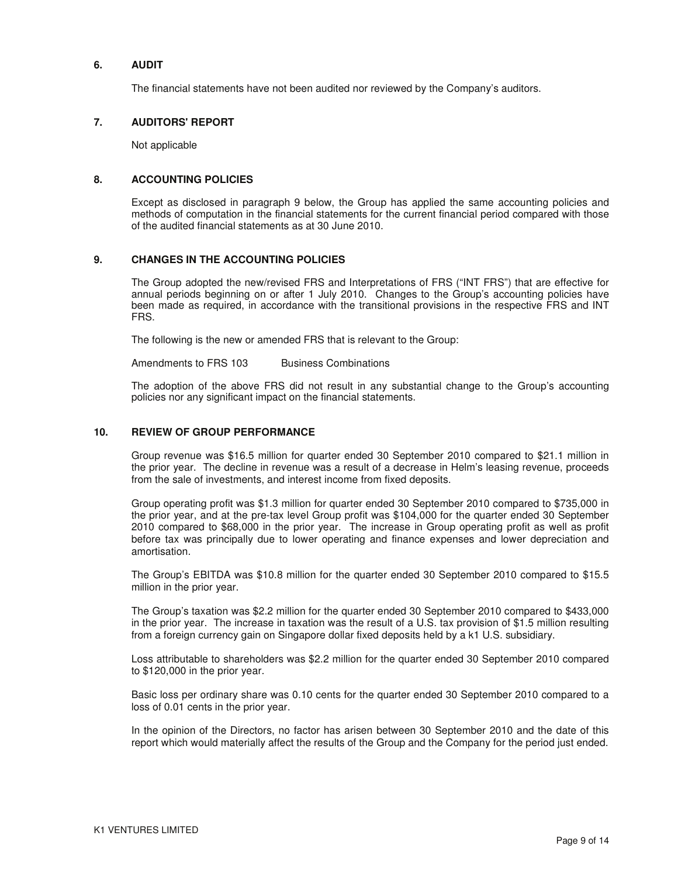### **6. AUDIT**

The financial statements have not been audited nor reviewed by the Company's auditors.

### **7. AUDITORS' REPORT**

Not applicable

### **8. ACCOUNTING POLICIES**

Except as disclosed in paragraph 9 below, the Group has applied the same accounting policies and methods of computation in the financial statements for the current financial period compared with those of the audited financial statements as at 30 June 2010.

### **9. CHANGES IN THE ACCOUNTING POLICIES**

The Group adopted the new/revised FRS and Interpretations of FRS ("INT FRS") that are effective for annual periods beginning on or after 1 July 2010. Changes to the Group's accounting policies have been made as required, in accordance with the transitional provisions in the respective FRS and INT FRS.

The following is the new or amended FRS that is relevant to the Group:

Amendments to FRS 103 Business Combinations

The adoption of the above FRS did not result in any substantial change to the Group's accounting policies nor any significant impact on the financial statements.

### **10. REVIEW OF GROUP PERFORMANCE**

Group revenue was \$16.5 million for quarter ended 30 September 2010 compared to \$21.1 million in the prior year. The decline in revenue was a result of a decrease in Helm's leasing revenue, proceeds from the sale of investments, and interest income from fixed deposits.

Group operating profit was \$1.3 million for quarter ended 30 September 2010 compared to \$735,000 in the prior year, and at the pre-tax level Group profit was \$104,000 for the quarter ended 30 September 2010 compared to \$68,000 in the prior year. The increase in Group operating profit as well as profit before tax was principally due to lower operating and finance expenses and lower depreciation and amortisation.

The Group's EBITDA was \$10.8 million for the quarter ended 30 September 2010 compared to \$15.5 million in the prior year.

The Group's taxation was \$2.2 million for the quarter ended 30 September 2010 compared to \$433,000 in the prior year. The increase in taxation was the result of a U.S. tax provision of \$1.5 million resulting from a foreign currency gain on Singapore dollar fixed deposits held by a k1 U.S. subsidiary.

Loss attributable to shareholders was \$2.2 million for the quarter ended 30 September 2010 compared to \$120,000 in the prior year.

Basic loss per ordinary share was 0.10 cents for the quarter ended 30 September 2010 compared to a loss of 0.01 cents in the prior year.

In the opinion of the Directors, no factor has arisen between 30 September 2010 and the date of this report which would materially affect the results of the Group and the Company for the period just ended.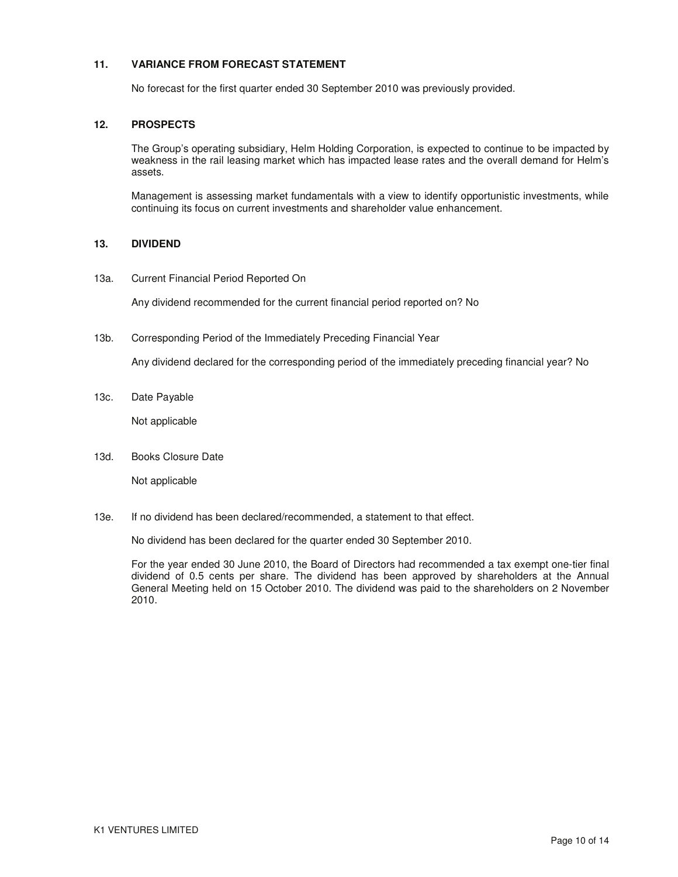## **11. VARIANCE FROM FORECAST STATEMENT**

No forecast for the first quarter ended 30 September 2010 was previously provided.

## **12. PROSPECTS**

The Group's operating subsidiary, Helm Holding Corporation, is expected to continue to be impacted by weakness in the rail leasing market which has impacted lease rates and the overall demand for Helm's assets.

Management is assessing market fundamentals with a view to identify opportunistic investments, while continuing its focus on current investments and shareholder value enhancement.

## **13. DIVIDEND**

13a. Current Financial Period Reported On

Any dividend recommended for the current financial period reported on? No

13b. Corresponding Period of the Immediately Preceding Financial Year

Any dividend declared for the corresponding period of the immediately preceding financial year? No

13c. Date Payable

Not applicable

13d. Books Closure Date

Not applicable

13e. If no dividend has been declared/recommended, a statement to that effect.

No dividend has been declared for the quarter ended 30 September 2010.

For the year ended 30 June 2010, the Board of Directors had recommended a tax exempt one-tier final dividend of 0.5 cents per share. The dividend has been approved by shareholders at the Annual General Meeting held on 15 October 2010. The dividend was paid to the shareholders on 2 November 2010.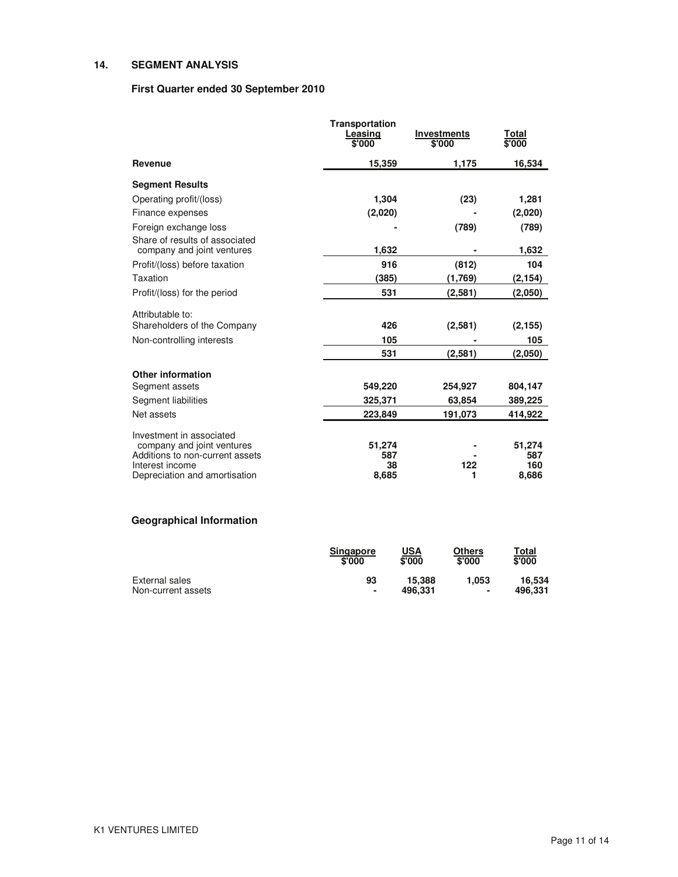## **14. SEGMENT ANALYSIS**

## **First Quarter ended 30 September 2010**

|                                                              | <b>Transportation</b><br>Leasing<br>\$'000 | <b>Investments</b><br>\$'000 | Total<br>\$'000 |
|--------------------------------------------------------------|--------------------------------------------|------------------------------|-----------------|
| Revenue                                                      | 15,359                                     | 1,175                        | 16,534          |
| <b>Segment Results</b>                                       |                                            |                              |                 |
| Operating profit/(loss)                                      | 1,304                                      | (23)                         | 1,281           |
| Finance expenses                                             | (2,020)                                    |                              | (2,020)         |
| Foreign exchange loss                                        |                                            | (789)                        | (789)           |
| Share of results of associated<br>company and joint ventures | 1,632                                      |                              | 1,632           |
| Profit/(loss) before taxation                                | 916                                        | (812)                        | 104             |
| Taxation                                                     | (385)                                      | (1,769)                      | (2,154)         |
| Profit/(loss) for the period                                 | 531                                        | (2,581)                      | (2,050)         |
| Attributable to:                                             |                                            |                              |                 |
| Shareholders of the Company                                  | 426                                        | (2,581)                      | (2, 155)        |
| Non-controlling interests                                    | 105                                        |                              | 105             |
|                                                              | 531                                        | (2,581)                      | (2,050)         |
| <b>Other information</b>                                     |                                            |                              |                 |
| Segment assets                                               | 549,220                                    | 254,927                      | 804,147         |
| Segment liabilities                                          | 325,371                                    | 63,854                       | 389,225         |
| Net assets                                                   | 223,849                                    | 191,073                      | 414,922         |
| Investment in associated                                     |                                            |                              |                 |
| company and joint ventures                                   | 51,274                                     |                              | 51,274          |
| Additions to non-current assets                              | 587                                        |                              | 587             |
| Interest income<br>Depreciation and amortisation             | 38<br>8,685                                | 122<br>1                     | 160<br>8,686    |

# **Geographical Information**

|                    | <b>Singapore</b><br>\$'000 | USA<br>\$'000 | Others<br>\$'000         | Total<br>\$'000 |
|--------------------|----------------------------|---------------|--------------------------|-----------------|
| External sales     | 93                         | 15.388        | 1.053                    | 16.534          |
| Non-current assets | ۰                          | 496.331       | $\overline{\phantom{a}}$ | 496.331         |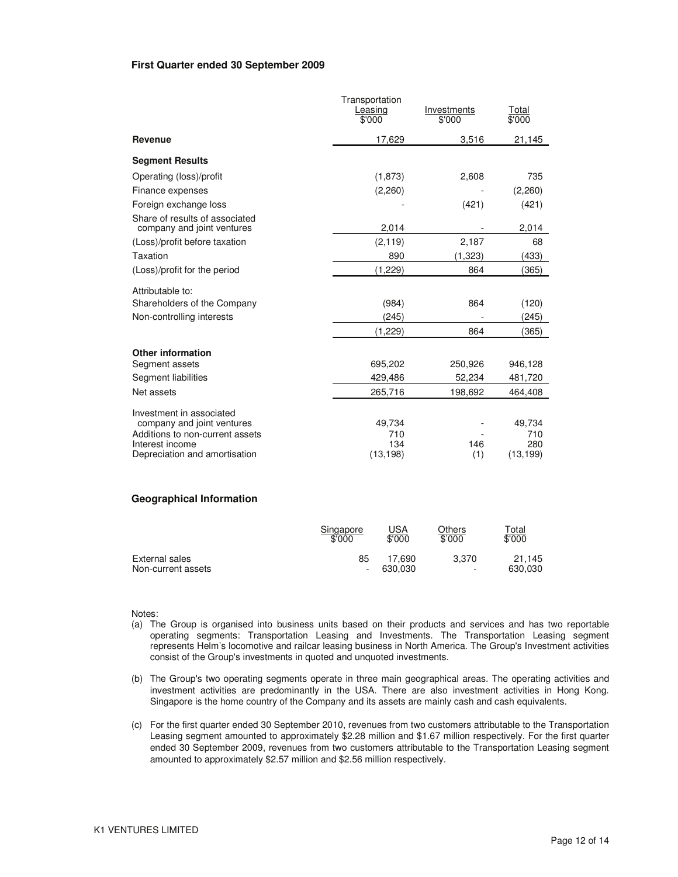### **First Quarter ended 30 September 2009**

|                                                              | Transportation<br>Leasing<br>\$'000 | Investments<br>\$'000 | Total<br>\$000 |
|--------------------------------------------------------------|-------------------------------------|-----------------------|----------------|
| Revenue                                                      | 17,629                              | 3.516                 | 21,145         |
| <b>Segment Results</b>                                       |                                     |                       |                |
| Operating (loss)/profit                                      | (1,873)                             | 2,608                 | 735            |
| Finance expenses                                             | (2,260)                             |                       | (2,260)        |
| Foreign exchange loss                                        |                                     | (421)                 | (421)          |
| Share of results of associated<br>company and joint ventures | 2,014                               |                       | 2,014          |
| (Loss)/profit before taxation                                | (2, 119)                            | 2,187                 | 68             |
| Taxation                                                     | 890                                 | (1, 323)              | (433)          |
| (Loss)/profit for the period                                 | (1,229)                             | 864                   | (365)          |
| Attributable to:                                             |                                     |                       |                |
| Shareholders of the Company                                  | (984)                               | 864                   | (120)          |
| Non-controlling interests                                    | (245)                               |                       | (245)          |
|                                                              | (1,229)                             | 864                   | (365)          |
| <b>Other information</b>                                     |                                     |                       |                |
| Segment assets                                               | 695,202                             | 250,926               | 946,128        |
| Segment liabilities                                          | 429,486                             | 52,234                | 481,720        |
| Net assets                                                   | 265,716                             | 198,692               | 464,408        |
| Investment in associated                                     |                                     |                       |                |
| company and joint ventures                                   | 49,734                              |                       | 49,734         |
| Additions to non-current assets<br>Interest income           | 710<br>134                          | 146                   | 710<br>280     |
| Depreciation and amortisation                                | (13, 198)                           | (1)                   | (13, 199)      |

#### **Geographical Information**

|                    | Singapore | <u>USA</u> | Others                   | Total   |
|--------------------|-----------|------------|--------------------------|---------|
|                    | \$'000    | \$'000     | \$'000                   | \$'000  |
| External sales     | 85        | 17.690     | 3.370                    | 21.145  |
| Non-current assets | ۰         | 630.030    | $\overline{\phantom{a}}$ | 630,030 |

#### Notes:

- (a) The Group is organised into business units based on their products and services and has two reportable operating segments: Transportation Leasing and Investments. The Transportation Leasing segment represents Helm's locomotive and railcar leasing business in North America. The Group's Investment activities consist of the Group's investments in quoted and unquoted investments.
- (b) The Group's two operating segments operate in three main geographical areas. The operating activities and investment activities are predominantly in the USA. There are also investment activities in Hong Kong. Singapore is the home country of the Company and its assets are mainly cash and cash equivalents.
- (c) For the first quarter ended 30 September 2010, revenues from two customers attributable to the Transportation Leasing segment amounted to approximately \$2.28 million and \$1.67 million respectively. For the first quarter ended 30 September 2009, revenues from two customers attributable to the Transportation Leasing segment amounted to approximately \$2.57 million and \$2.56 million respectively.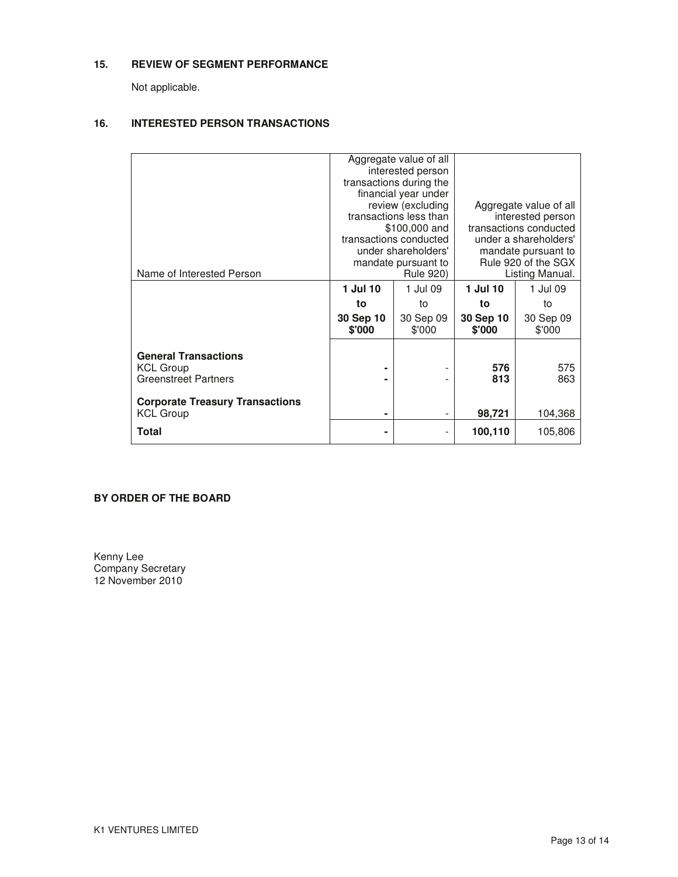## **15. REVIEW OF SEGMENT PERFORMANCE**

Not applicable.

## **16. INTERESTED PERSON TRANSACTIONS**

|                                        | Aggregate value of all  |                              |                        |           |  |
|----------------------------------------|-------------------------|------------------------------|------------------------|-----------|--|
|                                        | interested person       |                              |                        |           |  |
|                                        | transactions during the |                              |                        |           |  |
|                                        |                         | financial year under         |                        |           |  |
|                                        | review (excluding       |                              | Aggregate value of all |           |  |
|                                        |                         | transactions less than       | interested person      |           |  |
|                                        |                         | \$100,000 and                | transactions conducted |           |  |
|                                        |                         | transactions conducted       | under a shareholders'  |           |  |
|                                        |                         | under shareholders'          | mandate pursuant to    |           |  |
|                                        |                         | mandate pursuant to          | Rule 920 of the SGX    |           |  |
| Name of Interested Person              | <b>Rule 920)</b>        |                              | Listing Manual.        |           |  |
|                                        | 1 Jul 10                | 1 Jul 09                     | 1 Jul 10               | 1 Jul 09  |  |
|                                        | to                      | to                           | to                     | to        |  |
|                                        | 30 Sep 10               | 30 Sep 09                    | 30 Sep 10              | 30 Sep 09 |  |
|                                        | \$'000                  | \$'000                       | \$'000                 | \$'000    |  |
|                                        |                         |                              |                        |           |  |
| <b>General Transactions</b>            |                         |                              |                        |           |  |
| <b>KCL Group</b>                       | ۰                       |                              | 576                    | 575       |  |
| <b>Greenstreet Partners</b>            |                         |                              | 813                    | 863       |  |
|                                        |                         |                              |                        |           |  |
| <b>Corporate Treasury Transactions</b> |                         |                              |                        |           |  |
| <b>KCL Group</b>                       | ۰                       | $\qquad \qquad \blacksquare$ | 98,721                 | 104,368   |  |
|                                        |                         |                              |                        |           |  |
| Total                                  |                         |                              | 100,110                | 105,806   |  |
|                                        |                         |                              |                        |           |  |

## **BY ORDER OF THE BOARD**

Kenny Lee Company Secretary 12 November 2010